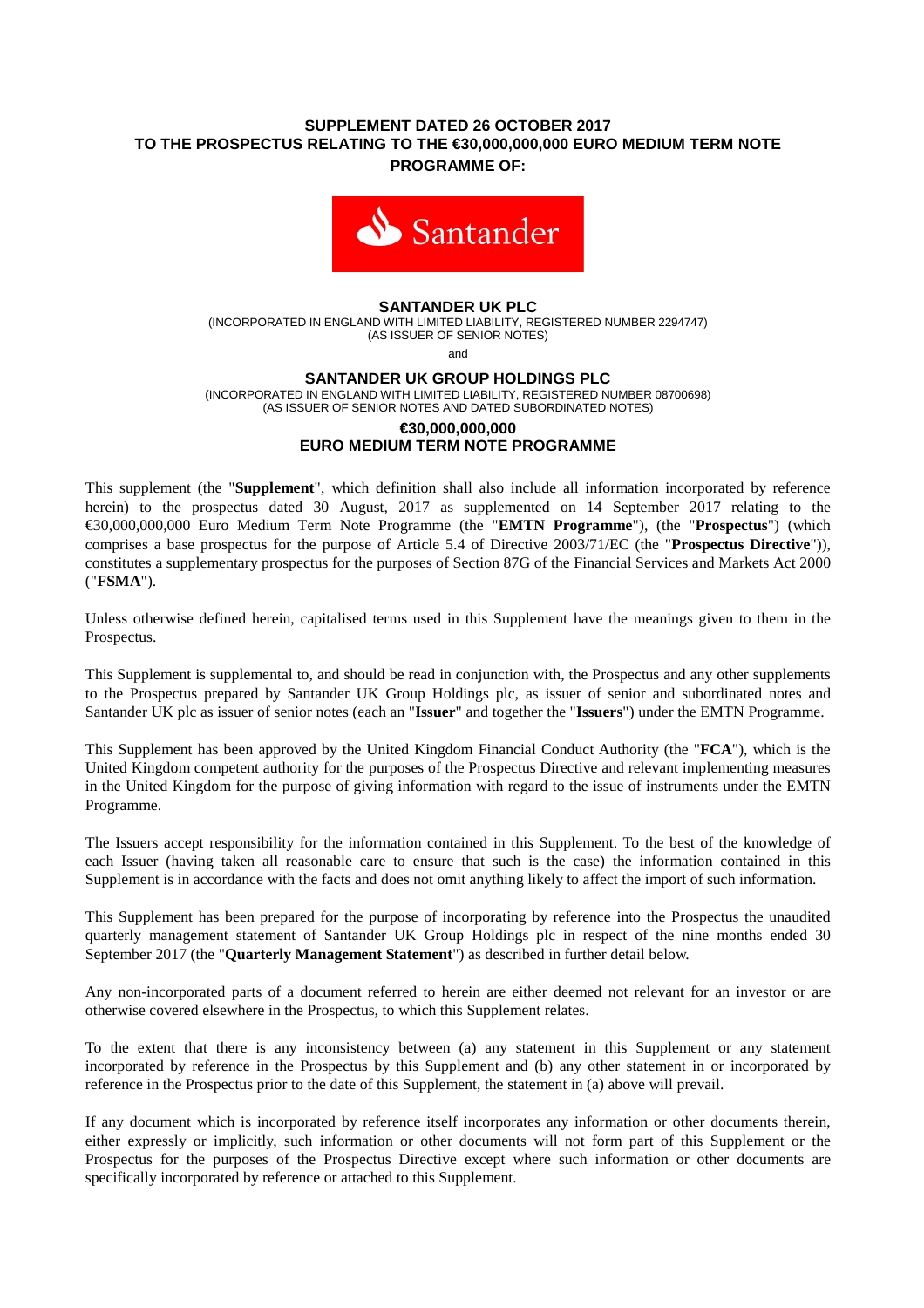## **SUPPLEMENT DATED 26 OCTOBER 2017 TO THE PROSPECTUS RELATING TO THE €30,000,000,000 EURO MEDIUM TERM NOTE PROGRAMME OF:**



## **SANTANDER UK PLC**

(INCORPORATED IN ENGLAND WITH LIMITED LIABILITY, REGISTERED NUMBER 2294747) (AS ISSUER OF SENIOR NOTES)

and

#### **SANTANDER UK GROUP HOLDINGS PLC**

(INCORPORATED IN ENGLAND WITH LIMITED LIABILITY, REGISTERED NUMBER 08700698) (AS ISSUER OF SENIOR NOTES AND DATED SUBORDINATED NOTES)

## **€30,000,000,000 EURO MEDIUM TERM NOTE PROGRAMME**

# This supplement (the "**Supplement**", which definition shall also include all information incorporated by reference

herein) to the prospectus dated 30 August, 2017 as supplemented on 14 September 2017 relating to the €30,000,000,000 Euro Medium Term Note Programme (the "**EMTN Programme**"), (the "**Prospectus**") (which comprises a base prospectus for the purpose of Article 5.4 of Directive 2003/71/EC (the "**Prospectus Directive**")), constitutes a supplementary prospectus for the purposes of Section 87G of the Financial Services and Markets Act 2000 ("**FSMA**").

Unless otherwise defined herein, capitalised terms used in this Supplement have the meanings given to them in the Prospectus.

This Supplement is supplemental to, and should be read in conjunction with, the Prospectus and any other supplements to the Prospectus prepared by Santander UK Group Holdings plc, as issuer of senior and subordinated notes and Santander UK plc as issuer of senior notes (each an "**Issuer**" and together the "**Issuers**") under the EMTN Programme.

This Supplement has been approved by the United Kingdom Financial Conduct Authority (the "**FCA**"), which is the United Kingdom competent authority for the purposes of the Prospectus Directive and relevant implementing measures in the United Kingdom for the purpose of giving information with regard to the issue of instruments under the EMTN Programme.

The Issuers accept responsibility for the information contained in this Supplement. To the best of the knowledge of each Issuer (having taken all reasonable care to ensure that such is the case) the information contained in this Supplement is in accordance with the facts and does not omit anything likely to affect the import of such information.

This Supplement has been prepared for the purpose of incorporating by reference into the Prospectus the unaudited quarterly management statement of Santander UK Group Holdings plc in respect of the nine months ended 30 September 2017 (the "**Quarterly Management Statement**") as described in further detail below.

Any non-incorporated parts of a document referred to herein are either deemed not relevant for an investor or are otherwise covered elsewhere in the Prospectus, to which this Supplement relates.

To the extent that there is any inconsistency between (a) any statement in this Supplement or any statement incorporated by reference in the Prospectus by this Supplement and (b) any other statement in or incorporated by reference in the Prospectus prior to the date of this Supplement, the statement in (a) above will prevail.

If any document which is incorporated by reference itself incorporates any information or other documents therein, either expressly or implicitly, such information or other documents will not form part of this Supplement or the Prospectus for the purposes of the Prospectus Directive except where such information or other documents are specifically incorporated by reference or attached to this Supplement.